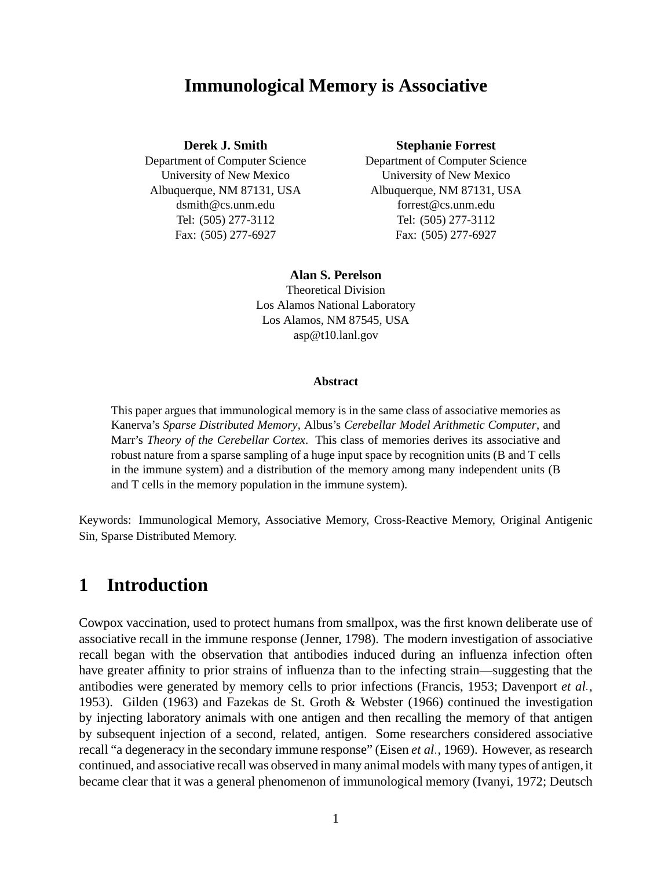### **Immunological Memory is Associative**

#### **Derek J. Smith**

Department of Computer Science University of New Mexico Albuquerque, NM 87131, USA dsmith@cs.unm.edu Tel: (505) 277-3112 Fax: (505) 277-6927

#### **Stephanie Forrest**

Department of Computer Science University of New Mexico Albuquerque, NM 87131, USA forrest@cs.unm.edu Tel: (505) 277-3112 Fax: (505) 277-6927

#### **Alan S. Perelson**

Theoretical Division Los Alamos National Laboratory Los Alamos, NM 87545, USA asp@t10.lanl.gov

#### **Abstract**

This paper argues that immunological memory is in the same class of associative memories as Kanerva's *Sparse Distributed Memory*, Albus's *Cerebellar Model Arithmetic Computer*, and Marr's *Theory of the Cerebellar Cortex*. This class of memories derives its associative and robust nature from a sparse sampling of a huge input space by recognition units (B and T cells in the immune system) and a distribution of the memory among many independent units (B and T cells in the memory population in the immune system).

Keywords: Immunological Memory, Associative Memory, Cross-Reactive Memory, Original Antigenic Sin, Sparse Distributed Memory.

## **1 Introduction**

Cowpox vaccination, used to protect humans from smallpox, was the first known deliberate use of associative recall in the immune response (Jenner, 1798). The modern investigation of associative recall began with the observation that antibodies induced during an influenza infection often have greater affinity to prior strains of influenza than to the infecting strain—suggesting that the antibodies were generated by memory cells to prior infections (Francis, 1953; Davenport *et al* , 1953). Gilden (1963) and Fazekas de St. Groth & Webster (1966) continued the investigation by injecting laboratory animals with one antigen and then recalling the memory of that antigen by subsequent injection of a second, related, antigen. Some researchers considered associative recall "a degeneracy in the secondary immune response" (Eisen *et al* , 1969). However, as research continued, and associative recall was observed in many animal models with many types of antigen, it became clear that it was a general phenomenon of immunological memory (Ivanyi, 1972; Deutsch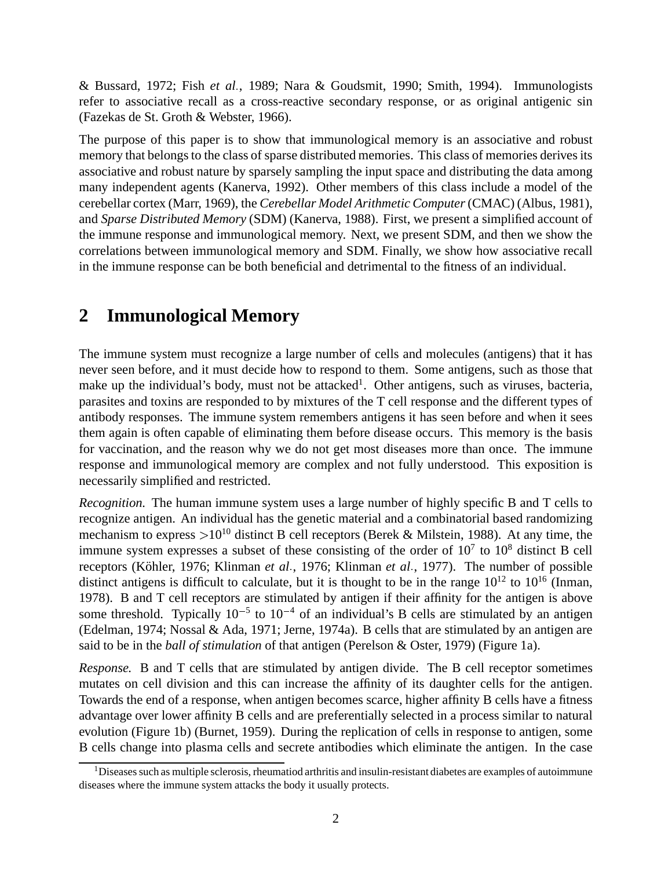& Bussard, 1972; Fish *et al* , 1989; Nara & Goudsmit, 1990; Smith, 1994). Immunologists refer to associative recall as a cross-reactive secondary response, or as original antigenic sin (Fazekas de St. Groth & Webster, 1966).

The purpose of this paper is to show that immunological memory is an associative and robust memory that belongs to the class of sparse distributed memories. This class of memories derives its associative and robust nature by sparsely sampling the input space and distributing the data among many independent agents (Kanerva, 1992). Other members of this class include a model of the cerebellar cortex (Marr, 1969), the *Cerebellar Model Arithmetic Computer*(CMAC) (Albus, 1981), and *Sparse Distributed Memory* (SDM) (Kanerva, 1988). First, we present a simplified account of the immune response and immunological memory. Next, we present SDM, and then we show the correlations between immunological memory and SDM. Finally, we show how associative recall in the immune response can be both beneficial and detrimental to the fitness of an individual.

# **2 Immunological Memory**

The immune system must recognize a large number of cells and molecules (antigens) that it has never seen before, and it must decide how to respond to them. Some antigens, such as those that make up the individual's body, must not be attacked<sup>1</sup>. Other antigens, such as viruses, bacteria, parasites and toxins are responded to by mixtures of the T cell response and the different types of antibody responses. The immune system remembers antigens it has seen before and when it sees them again is often capable of eliminating them before disease occurs. This memory is the basis for vaccination, and the reason why we do not get most diseases more than once. The immune response and immunological memory are complex and not fully understood. This exposition is necessarily simplified and restricted.

*Recognition.* The human immune system uses a large number of highly specific B and T cells to recognize antigen. An individual has the genetic material and a combinatorial based randomizing mechanism to express  $>10^{10}$  distinct B cell receptors (Berek & Milstein, 1988). At any time, the immune system expresses a subset of these consisting of the order of  $10<sup>7</sup>$  to  $10<sup>8</sup>$  distinct B cell receptors (Köhler, 1976; Klinman *et al.*, 1976; Klinman *et al.*, 1977). The number of possible distinct antigens is difficult to calculate, but it is thought to be in the range  $10^{12}$  to  $10^{16}$  (Inman, 1978). B and T cell receptors are stimulated by antigen if their affinity for the antigen is above some threshold. Typically  $10^{-5}$  to  $10^{-4}$  of an individual's B cells are stimulated by an antigen (Edelman, 1974; Nossal & Ada, 1971; Jerne, 1974a). B cells that are stimulated by an antigen are said to be in the *ball of stimulation* of that antigen (Perelson & Oster, 1979) (Figure 1a).

*Response.* B and T cells that are stimulated by antigen divide. The B cell receptor sometimes mutates on cell division and this can increase the affinity of its daughter cells for the antigen. Towards the end of a response, when antigen becomes scarce, higher affinity B cells have a fitness advantage over lower affinity B cells and are preferentially selected in a process similar to natural evolution (Figure 1b) (Burnet, 1959). During the replication of cells in response to antigen, some B cells change into plasma cells and secrete antibodies which eliminate the antigen. In the case

<sup>&</sup>lt;sup>1</sup>Diseases such as multiple sclerosis, rheumatiod arthritis and insulin-resistant diabetes are examples of autoimmune diseases where the immune system attacks the body it usually protects.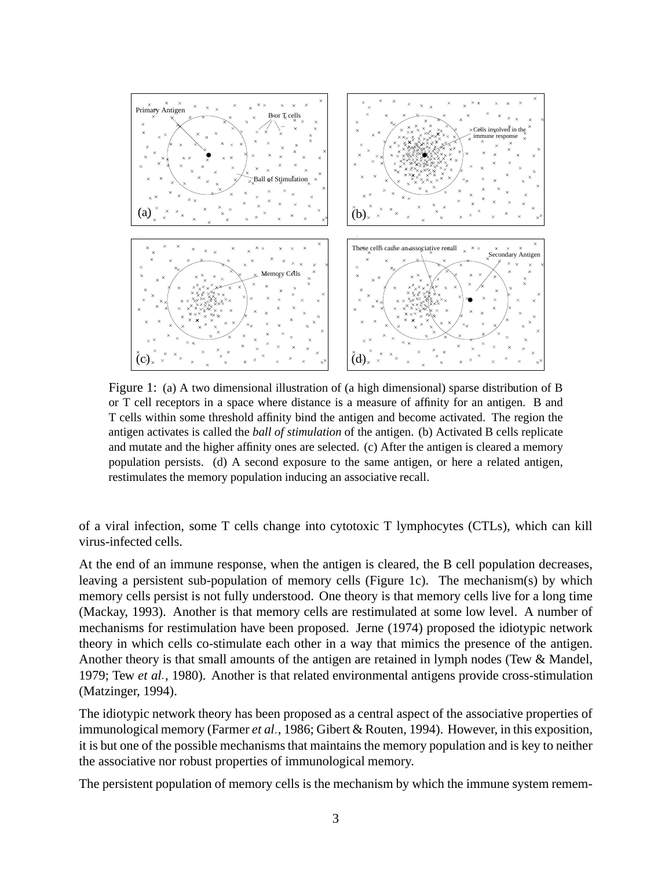

Figure 1: (a) A two dimensional illustration of (a high dimensional) sparse distribution of B or T cell receptors in a space where distance is a measure of affinity for an antigen. B and T cells within some threshold affinity bind the antigen and become activated. The region the antigen activates is called the *ball of stimulation* of the antigen. (b) Activated B cells replicate and mutate and the higher affinity ones are selected. (c) After the antigen is cleared a memory population persists. (d) A second exposure to the same antigen, or here a related antigen, restimulates the memory population inducing an associative recall.

of a viral infection, some T cells change into cytotoxic T lymphocytes (CTLs), which can kill virus-infected cells.

At the end of an immune response, when the antigen is cleared, the B cell population decreases, leaving a persistent sub-population of memory cells (Figure 1c). The mechanism(s) by which memory cells persist is not fully understood. One theory is that memory cells live for a long time (Mackay, 1993). Another is that memory cells are restimulated at some low level. A number of mechanisms for restimulation have been proposed. Jerne (1974) proposed the idiotypic network theory in which cells co-stimulate each other in a way that mimics the presence of the antigen. Another theory is that small amounts of the antigen are retained in lymph nodes (Tew & Mandel, 1979; Tew *et al* , 1980). Another is that related environmental antigens provide cross-stimulation (Matzinger, 1994).

The idiotypic network theory has been proposed as a central aspect of the associative properties of immunological memory (Farmer *et al* , 1986; Gibert & Routen, 1994). However, in this exposition, it is but one of the possible mechanisms that maintains the memory population and is key to neither the associative nor robust properties of immunological memory.

The persistent population of memory cells is the mechanism by which the immune system remem-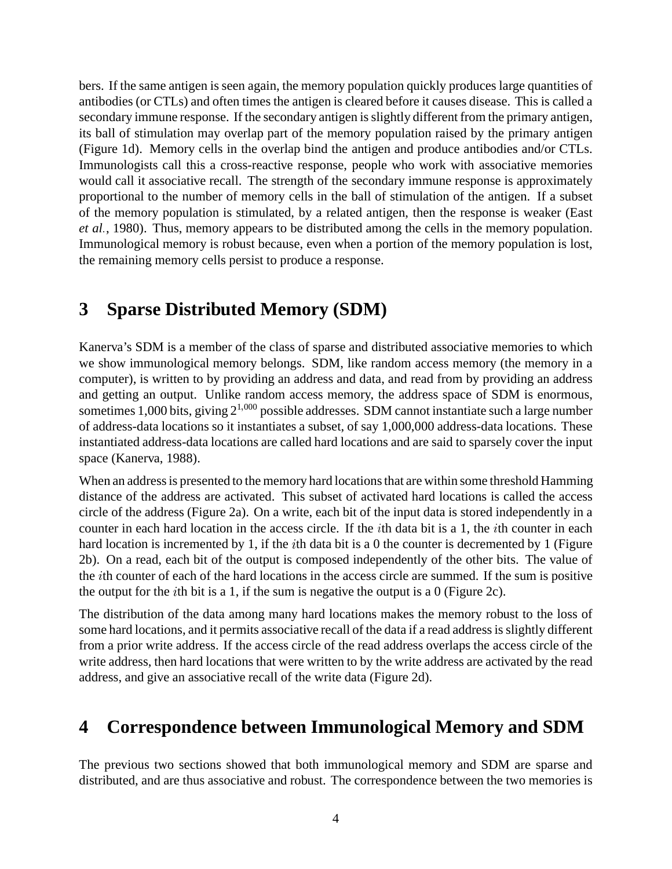bers. If the same antigen is seen again, the memory population quickly produces large quantities of antibodies (or CTLs) and often times the antigen is cleared before it causes disease. This is called a secondary immune response. If the secondary antigen is slightly different from the primary antigen, its ball of stimulation may overlap part of the memory population raised by the primary antigen (Figure 1d). Memory cells in the overlap bind the antigen and produce antibodies and/or CTLs. Immunologists call this a cross-reactive response, people who work with associative memories would call it associative recall. The strength of the secondary immune response is approximately proportional to the number of memory cells in the ball of stimulation of the antigen. If a subset of the memory population is stimulated, by a related antigen, then the response is weaker (East *et al* , 1980). Thus, memory appears to be distributed among the cells in the memory population. Immunological memory is robust because, even when a portion of the memory population is lost, the remaining memory cells persist to produce a response.

# **3 Sparse Distributed Memory (SDM)**

Kanerva's SDM is a member of the class of sparse and distributed associative memories to which we show immunological memory belongs. SDM, like random access memory (the memory in a computer), is written to by providing an address and data, and read from by providing an address and getting an output. Unlike random access memory, the address space of SDM is enormous, sometimes 1,000 bits, giving  $2^{1,000}$  possible addresses. SDM cannot instantiate such a large number of address-data locations so it instantiates a subset, of say 1,000,000 address-data locations. These instantiated address-data locations are called hard locations and are said to sparsely cover the input space (Kanerva, 1988).

When an address is presented to the memory hard locations that are within some threshold Hamming distance of the address are activated. This subset of activated hard locations is called the access circle of the address (Figure 2a). On a write, each bit of the input data is stored independently in a counter in each hard location in the access circle. If the *i*th data bit is a 1, the *i*th counter in each hard location is incremented by 1, if the *i*th data bit is a 0 the counter is decremented by 1 (Figure 2b). On a read, each bit of the output is composed independently of the other bits. The value of the th counter of each of the hard locations in the access circle are summed. If the sum is positive the output for the *i*th bit is a 1, if the sum is negative the output is a 0 (Figure 2c).

The distribution of the data among many hard locations makes the memory robust to the loss of some hard locations, and it permits associative recall of the data if a read address is slightly different from a prior write address. If the access circle of the read address overlaps the access circle of the write address, then hard locations that were written to by the write address are activated by the read address, and give an associative recall of the write data (Figure 2d).

# **4 Correspondence between Immunological Memory and SDM**

The previous two sections showed that both immunological memory and SDM are sparse and distributed, and are thus associative and robust. The correspondence between the two memories is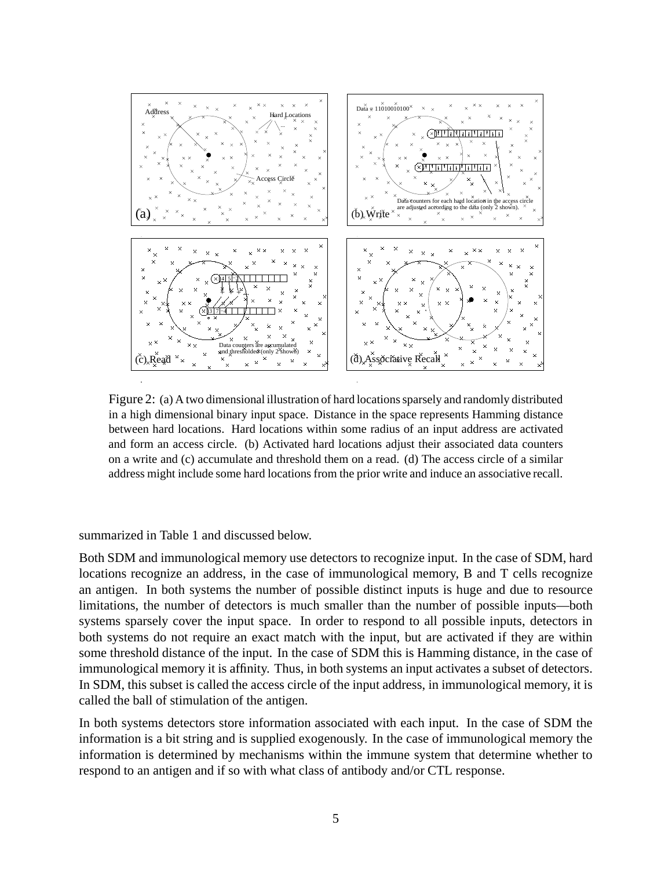

Figure 2: (a) A two dimensional illustration of hard locationssparsely and randomly distributed in a high dimensional binary input space. Distance in the space represents Hamming distance between hard locations. Hard locations within some radius of an input address are activated and form an access circle. (b) Activated hard locations adjust their associated data counters on a write and (c) accumulate and threshold them on a read. (d) The access circle of a similar address might include some hard locations from the prior write and induce an associative recall.

summarized in Table 1 and discussed below.

Both SDM and immunological memory use detectors to recognize input. In the case of SDM, hard locations recognize an address, in the case of immunological memory, B and T cells recognize an antigen. In both systems the number of possible distinct inputs is huge and due to resource limitations, the number of detectors is much smaller than the number of possible inputs—both systems sparsely cover the input space. In order to respond to all possible inputs, detectors in both systems do not require an exact match with the input, but are activated if they are within some threshold distance of the input. In the case of SDM this is Hamming distance, in the case of immunological memory it is affinity. Thus, in both systems an input activates a subset of detectors. In SDM, this subset is called the access circle of the input address, in immunological memory, it is called the ball of stimulation of the antigen.

In both systems detectors store information associated with each input. In the case of SDM the information is a bit string and is supplied exogenously. In the case of immunological memory the information is determined by mechanisms within the immune system that determine whether to respond to an antigen and if so with what class of antibody and/or CTL response.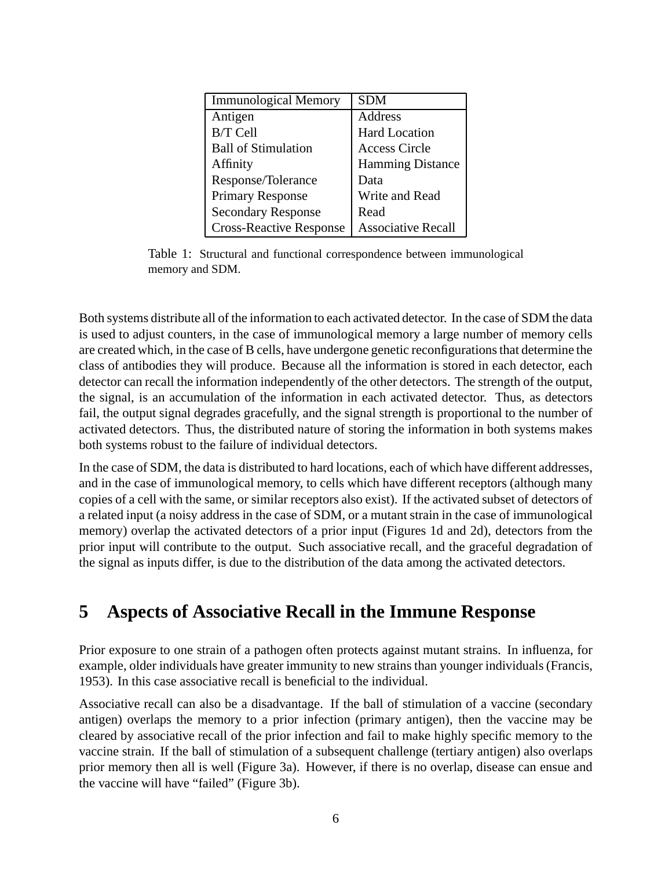| <b>Immunological Memory</b>    | <b>SDM</b>                |
|--------------------------------|---------------------------|
| Antigen                        | Address                   |
| <b>B/T</b> Cell                | <b>Hard Location</b>      |
| <b>Ball of Stimulation</b>     | <b>Access Circle</b>      |
| Affinity                       | <b>Hamming Distance</b>   |
| Response/Tolerance             | Data                      |
| <b>Primary Response</b>        | Write and Read            |
| <b>Secondary Response</b>      | Read                      |
| <b>Cross-Reactive Response</b> | <b>Associative Recall</b> |

Table 1: Structural and functional correspondence between immunological memory and SDM.

Both systems distribute all of the information to each activated detector. In the case of SDM the data is used to adjust counters, in the case of immunological memory a large number of memory cells are created which, in the case of B cells, have undergone genetic reconfigurationsthat determine the class of antibodies they will produce. Because all the information is stored in each detector, each detector can recall the information independently of the other detectors. The strength of the output, the signal, is an accumulation of the information in each activated detector. Thus, as detectors fail, the output signal degrades gracefully, and the signal strength is proportional to the number of activated detectors. Thus, the distributed nature of storing the information in both systems makes both systems robust to the failure of individual detectors.

In the case of SDM, the data is distributed to hard locations, each of which have different addresses, and in the case of immunological memory, to cells which have different receptors (although many copies of a cell with the same, or similar receptors also exist). If the activated subset of detectors of a related input (a noisy address in the case of SDM, or a mutant strain in the case of immunological memory) overlap the activated detectors of a prior input (Figures 1d and 2d), detectors from the prior input will contribute to the output. Such associative recall, and the graceful degradation of the signal as inputs differ, is due to the distribution of the data among the activated detectors.

## **5 Aspects of Associative Recall in the Immune Response**

Prior exposure to one strain of a pathogen often protects against mutant strains. In influenza, for example, older individuals have greater immunity to new strains than younger individuals(Francis, 1953). In this case associative recall is beneficial to the individual.

Associative recall can also be a disadvantage. If the ball of stimulation of a vaccine (secondary antigen) overlaps the memory to a prior infection (primary antigen), then the vaccine may be cleared by associative recall of the prior infection and fail to make highly specific memory to the vaccine strain. If the ball of stimulation of a subsequent challenge (tertiary antigen) also overlaps prior memory then all is well (Figure 3a). However, if there is no overlap, disease can ensue and the vaccine will have "failed" (Figure 3b).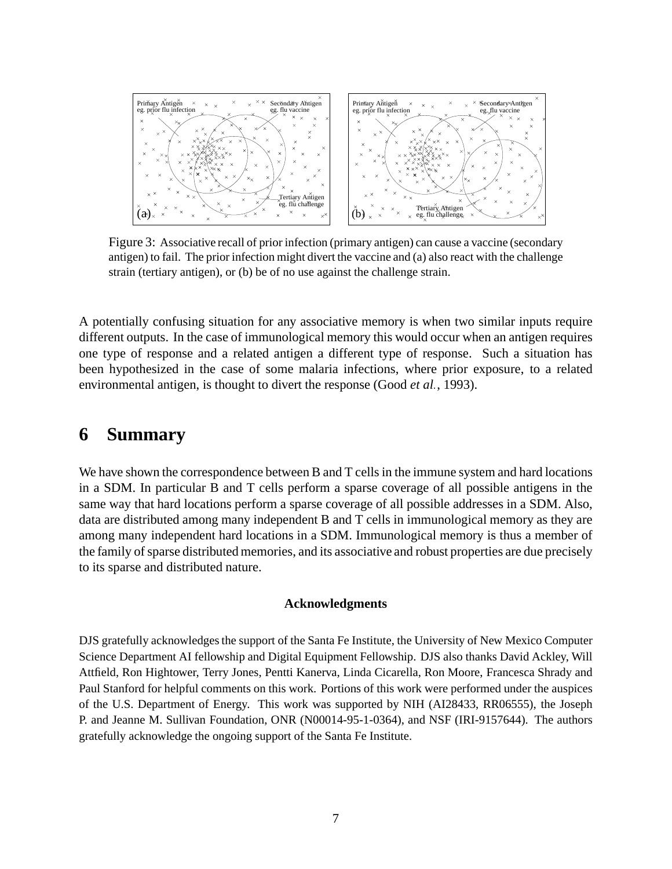

Figure 3: Associative recall of prior infection (primary antigen) can cause a vaccine (secondary antigen) to fail. The prior infection might divert the vaccine and (a) also react with the challenge strain (tertiary antigen), or (b) be of no use against the challenge strain.

A potentially confusing situation for any associative memory is when two similar inputs require different outputs. In the case of immunological memory this would occur when an antigen requires one type of response and a related antigen a different type of response. Such a situation has been hypothesized in the case of some malaria infections, where prior exposure, to a related environmental antigen, is thought to divert the response (Good et al., 1993).

### **6 Summary**

We have shown the correspondence between B and T cells in the immune system and hard locations in a SDM. In particular B and T cells perform a sparse coverage of all possible antigens in the same way that hard locations perform a sparse coverage of all possible addresses in a SDM. Also, data are distributed among many independent B and T cells in immunological memory as they are among many independent hard locations in a SDM. Immunological memory is thus a member of the family of sparse distributed memories, and its associative and robust properties are due precisely to its sparse and distributed nature.

#### **Acknowledgments**

DJS gratefully acknowledgesthe support of the Santa Fe Institute, the University of New Mexico Computer Science Department AI fellowship and Digital Equipment Fellowship. DJS also thanks David Ackley, Will Attfield, Ron Hightower, Terry Jones, Pentti Kanerva, Linda Cicarella, Ron Moore, Francesca Shrady and Paul Stanford for helpful comments on this work. Portions of this work were performed under the auspices of the U.S. Department of Energy. This work was supported by NIH (AI28433, RR06555), the Joseph P. and Jeanne M. Sullivan Foundation, ONR (N00014-95-1-0364), and NSF (IRI-9157644). The authors gratefully acknowledge the ongoing support of the Santa Fe Institute.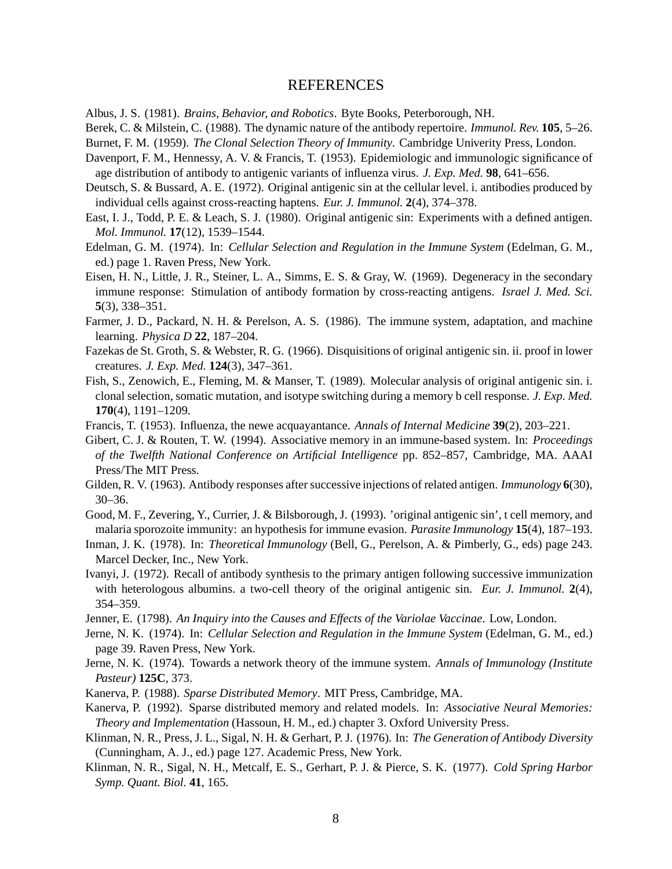### REFERENCES

Albus, J. S. (1981). *Brains, Behavior, and Robotics*. Byte Books, Peterborough, NH.

Berek, C. & Milstein, C. (1988). The dynamic nature of the antibody repertoire. *Immunol. Rev.* **105**, 5–26.

Burnet, F. M. (1959). *The Clonal Selection Theory of Immunity*. Cambridge Univerity Press, London.

- Davenport, F. M., Hennessy, A. V. & Francis, T. (1953). Epidemiologic and immunologic significance of age distribution of antibody to antigenic variants of influenza virus. *J. Exp. Med.* **98**, 641–656.
- Deutsch, S. & Bussard, A. E. (1972). Original antigenic sin at the cellular level. i. antibodies produced by individual cells against cross-reacting haptens. *Eur. J. Immunol.* **2**(4), 374–378.
- East, I. J., Todd, P. E. & Leach, S. J. (1980). Original antigenic sin: Experiments with a defined antigen. *Mol. Immunol.* **17**(12), 1539–1544.
- Edelman, G. M. (1974). In: *Cellular Selection and Regulation in the Immune System* (Edelman, G. M., ed.) page 1. Raven Press, New York.
- Eisen, H. N., Little, J. R., Steiner, L. A., Simms, E. S. & Gray, W. (1969). Degeneracy in the secondary immune response: Stimulation of antibody formation by cross-reacting antigens. *Israel J. Med. Sci.* **5**(3), 338–351.
- Farmer, J. D., Packard, N. H. & Perelson, A. S. (1986). The immune system, adaptation, and machine learning. *Physica D* **22**, 187–204.
- Fazekas de St. Groth, S. & Webster, R. G. (1966). Disquisitions of original antigenic sin. ii. proof in lower creatures. *J. Exp. Med.* **124**(3), 347–361.
- Fish, S., Zenowich, E., Fleming, M. & Manser, T. (1989). Molecular analysis of original antigenic sin. i. clonal selection, somatic mutation, and isotype switching during a memory b cell response. *J. Exp. Med.* **170**(4), 1191–1209.
- Francis, T. (1953). Influenza, the newe acquayantance. *Annals of Internal Medicine* **39**(2), 203–221.
- Gibert, C. J. & Routen, T. W. (1994). Associative memory in an immune-based system. In: *Proceedings of the Twelfth National Conference on Artificial Intelligence* pp. 852–857, Cambridge, MA. AAAI Press/The MIT Press.
- Gilden, R. V. (1963). Antibody responses after successive injections of related antigen. *Immunology* 6(30), 30–36.
- Good, M. F., Zevering, Y., Currier, J. & Bilsborough,J. (1993). 'original antigenic sin', t cell memory, and malaria sporozoite immunity: an hypothesis for immune evasion. *Parasite Immunology* **15**(4), 187–193.
- Inman, J. K. (1978). In: *Theoretical Immunology* (Bell, G., Perelson, A. & Pimberly, G., eds) page 243. Marcel Decker, Inc., New York.
- Ivanyi, J. (1972). Recall of antibody synthesis to the primary antigen following successive immunization with heterologous albumins. a two-cell theory of the original antigenic sin. *Eur. J. Immunol.* **2**(4), 354–359.
- Jenner, E. (1798). *An Inquiry into the Causes and Effects of the Variolae Vaccinae*. Low, London.
- Jerne, N. K. (1974). In: *Cellular Selection and Regulation in the Immune System* (Edelman, G. M., ed.) page 39. Raven Press, New York.
- Jerne, N. K. (1974). Towards a network theory of the immune system. *Annals of Immunology (Institute Pasteur)* **125C**, 373.
- Kanerva, P. (1988). *Sparse Distributed Memory*. MIT Press, Cambridge, MA.
- Kanerva, P. (1992). Sparse distributed memory and related models. In: *Associative Neural Memories: Theory and Implementation* (Hassoun, H. M., ed.) chapter 3. Oxford University Press.
- Klinman, N. R., Press, J. L., Sigal, N. H. & Gerhart, P. J. (1976). In: *The Generation of Antibody Diversity* (Cunningham, A. J., ed.) page 127. Academic Press, New York.
- Klinman, N. R., Sigal, N. H., Metcalf, E. S., Gerhart, P. J. & Pierce, S. K. (1977). *Cold Spring Harbor Symp. Quant. Biol.* **41**, 165.